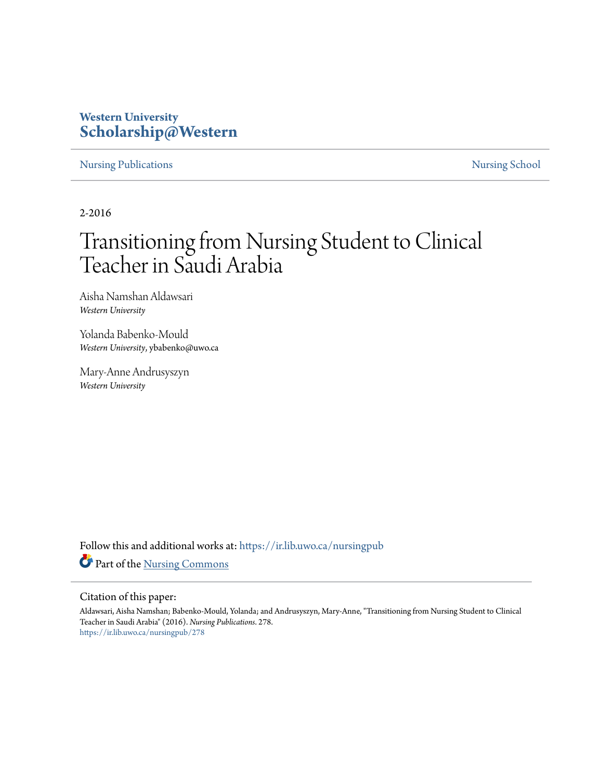# **Western University [Scholarship@Western](https://ir.lib.uwo.ca?utm_source=ir.lib.uwo.ca%2Fnursingpub%2F278&utm_medium=PDF&utm_campaign=PDFCoverPages)**

[Nursing Publications](https://ir.lib.uwo.ca/nursingpub?utm_source=ir.lib.uwo.ca%2Fnursingpub%2F278&utm_medium=PDF&utm_campaign=PDFCoverPages) [Nursing School](https://ir.lib.uwo.ca/nursing?utm_source=ir.lib.uwo.ca%2Fnursingpub%2F278&utm_medium=PDF&utm_campaign=PDFCoverPages)

2-2016

# Transitioning from Nursing Student to Clinical Teacher in Saudi Arabia

Aisha Namshan Aldawsari *Western University*

Yolanda Babenko-Mould *Western University*, ybabenko@uwo.ca

Mary-Anne Andrusyszyn *Western University*

Follow this and additional works at: [https://ir.lib.uwo.ca/nursingpub](https://ir.lib.uwo.ca/nursingpub?utm_source=ir.lib.uwo.ca%2Fnursingpub%2F278&utm_medium=PDF&utm_campaign=PDFCoverPages) Part of the [Nursing Commons](http://network.bepress.com/hgg/discipline/718?utm_source=ir.lib.uwo.ca%2Fnursingpub%2F278&utm_medium=PDF&utm_campaign=PDFCoverPages)

#### Citation of this paper:

Aldawsari, Aisha Namshan; Babenko-Mould, Yolanda; and Andrusyszyn, Mary-Anne, "Transitioning from Nursing Student to Clinical Teacher in Saudi Arabia" (2016). *Nursing Publications*. 278. [https://ir.lib.uwo.ca/nursingpub/278](https://ir.lib.uwo.ca/nursingpub/278?utm_source=ir.lib.uwo.ca%2Fnursingpub%2F278&utm_medium=PDF&utm_campaign=PDFCoverPages)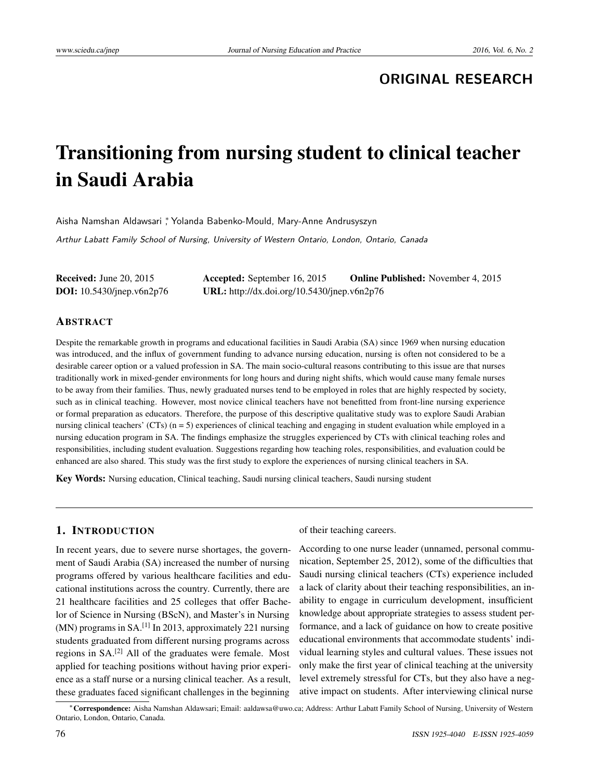# **ORIGINAL RESEARCH**

# Transitioning from nursing student to clinical teacher in Saudi Arabia

Aisha Namshan Aldawsari <sup>∗</sup> , Yolanda Babenko-Mould, Mary-Anne Andrusyszyn

Arthur Labatt Family School of Nursing, University of Western Ontario, London, Ontario, Canada

| <b>Received:</b> June 20, 2015      | <b>Accepted:</b> September 16, 2015         | <b>Online Published:</b> November 4, 2015 |
|-------------------------------------|---------------------------------------------|-------------------------------------------|
| <b>DOI:</b> $10.5430$ /jnep.v6n2p76 | URL: http://dx.doi.org/10.5430/jnep.v6n2p76 |                                           |

#### ABSTRACT

Despite the remarkable growth in programs and educational facilities in Saudi Arabia (SA) since 1969 when nursing education was introduced, and the influx of government funding to advance nursing education, nursing is often not considered to be a desirable career option or a valued profession in SA. The main socio-cultural reasons contributing to this issue are that nurses traditionally work in mixed-gender environments for long hours and during night shifts, which would cause many female nurses to be away from their families. Thus, newly graduated nurses tend to be employed in roles that are highly respected by society, such as in clinical teaching. However, most novice clinical teachers have not benefitted from front-line nursing experience or formal preparation as educators. Therefore, the purpose of this descriptive qualitative study was to explore Saudi Arabian nursing clinical teachers' (CTs)  $(n = 5)$  experiences of clinical teaching and engaging in student evaluation while employed in a nursing education program in SA. The findings emphasize the struggles experienced by CTs with clinical teaching roles and responsibilities, including student evaluation. Suggestions regarding how teaching roles, responsibilities, and evaluation could be enhanced are also shared. This study was the first study to explore the experiences of nursing clinical teachers in SA.

Key Words: Nursing education, Clinical teaching, Saudi nursing clinical teachers, Saudi nursing student

# 1. INTRODUCTION

In recent years, due to severe nurse shortages, the government of Saudi Arabia (SA) increased the number of nursing programs offered by various healthcare facilities and educational institutions across the country. Currently, there are 21 healthcare facilities and 25 colleges that offer Bachelor of Science in Nursing (BScN), and Master's in Nursing  $(MN)$  programs in SA.<sup>[\[1\]](#page-9-0)</sup> In 2013, approximately 221 nursing students graduated from different nursing programs across regions in SA.[\[2\]](#page-9-1) All of the graduates were female. Most applied for teaching positions without having prior experience as a staff nurse or a nursing clinical teacher. As a result, these graduates faced significant challenges in the beginning

of their teaching careers.

According to one nurse leader (unnamed, personal communication, September 25, 2012), some of the difficulties that Saudi nursing clinical teachers (CTs) experience included a lack of clarity about their teaching responsibilities, an inability to engage in curriculum development, insufficient knowledge about appropriate strategies to assess student performance, and a lack of guidance on how to create positive educational environments that accommodate students' individual learning styles and cultural values. These issues not only make the first year of clinical teaching at the university level extremely stressful for CTs, but they also have a negative impact on students. After interviewing clinical nurse

<sup>∗</sup>Correspondence: Aisha Namshan Aldawsari; Email: aaldawsa@uwo.ca; Address: Arthur Labatt Family School of Nursing, University of Western Ontario, London, Ontario, Canada.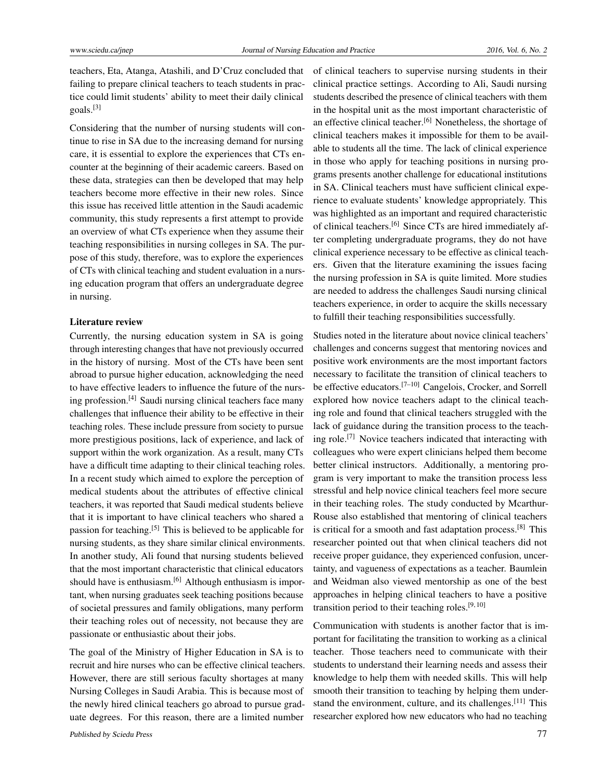teachers, Eta, Atanga, Atashili, and D'Cruz concluded that failing to prepare clinical teachers to teach students in practice could limit students' ability to meet their daily clinical goals.[\[3\]](#page-9-2)

Considering that the number of nursing students will continue to rise in SA due to the increasing demand for nursing care, it is essential to explore the experiences that CTs encounter at the beginning of their academic careers. Based on these data, strategies can then be developed that may help teachers become more effective in their new roles. Since this issue has received little attention in the Saudi academic community, this study represents a first attempt to provide an overview of what CTs experience when they assume their teaching responsibilities in nursing colleges in SA. The purpose of this study, therefore, was to explore the experiences of CTs with clinical teaching and student evaluation in a nursing education program that offers an undergraduate degree in nursing.

#### Literature review

Currently, the nursing education system in SA is going through interesting changes that have not previously occurred in the history of nursing. Most of the CTs have been sent abroad to pursue higher education, acknowledging the need to have effective leaders to influence the future of the nursing profession.[\[4\]](#page-9-3) Saudi nursing clinical teachers face many challenges that influence their ability to be effective in their teaching roles. These include pressure from society to pursue more prestigious positions, lack of experience, and lack of support within the work organization. As a result, many CTs have a difficult time adapting to their clinical teaching roles. In a recent study which aimed to explore the perception of medical students about the attributes of effective clinical teachers, it was reported that Saudi medical students believe that it is important to have clinical teachers who shared a passion for teaching.[\[5\]](#page-9-4) This is believed to be applicable for nursing students, as they share similar clinical environments. In another study, Ali found that nursing students believed that the most important characteristic that clinical educators should have is enthusiasm.<sup>[\[6\]](#page-9-5)</sup> Although enthusiasm is important, when nursing graduates seek teaching positions because of societal pressures and family obligations, many perform their teaching roles out of necessity, not because they are passionate or enthusiastic about their jobs.

The goal of the Ministry of Higher Education in SA is to recruit and hire nurses who can be effective clinical teachers. However, there are still serious faculty shortages at many Nursing Colleges in Saudi Arabia. This is because most of the newly hired clinical teachers go abroad to pursue graduate degrees. For this reason, there are a limited number of clinical teachers to supervise nursing students in their clinical practice settings. According to Ali, Saudi nursing students described the presence of clinical teachers with them in the hospital unit as the most important characteristic of an effective clinical teacher.<sup>[\[6\]](#page-9-5)</sup> Nonetheless, the shortage of clinical teachers makes it impossible for them to be available to students all the time. The lack of clinical experience in those who apply for teaching positions in nursing programs presents another challenge for educational institutions in SA. Clinical teachers must have sufficient clinical experience to evaluate students' knowledge appropriately. This was highlighted as an important and required characteristic of clinical teachers.[\[6\]](#page-9-5) Since CTs are hired immediately after completing undergraduate programs, they do not have clinical experience necessary to be effective as clinical teachers. Given that the literature examining the issues facing the nursing profession in SA is quite limited. More studies are needed to address the challenges Saudi nursing clinical teachers experience, in order to acquire the skills necessary to fulfill their teaching responsibilities successfully.

Studies noted in the literature about novice clinical teachers' challenges and concerns suggest that mentoring novices and positive work environments are the most important factors necessary to facilitate the transition of clinical teachers to be effective educators.[\[7](#page-9-6)[–10\]](#page-9-7) Cangelois, Crocker, and Sorrell explored how novice teachers adapt to the clinical teaching role and found that clinical teachers struggled with the lack of guidance during the transition process to the teaching role.[\[7\]](#page-9-6) Novice teachers indicated that interacting with colleagues who were expert clinicians helped them become better clinical instructors. Additionally, a mentoring program is very important to make the transition process less stressful and help novice clinical teachers feel more secure in their teaching roles. The study conducted by Mcarthur-Rouse also established that mentoring of clinical teachers is critical for a smooth and fast adaptation process.<sup>[\[8\]](#page-9-8)</sup> This researcher pointed out that when clinical teachers did not receive proper guidance, they experienced confusion, uncertainty, and vagueness of expectations as a teacher. Baumlein and Weidman also viewed mentorship as one of the best approaches in helping clinical teachers to have a positive transition period to their teaching roles.<sup>[\[9,](#page-9-9) [10\]](#page-9-7)</sup>

Communication with students is another factor that is important for facilitating the transition to working as a clinical teacher. Those teachers need to communicate with their students to understand their learning needs and assess their knowledge to help them with needed skills. This will help smooth their transition to teaching by helping them understand the environment, culture, and its challenges.[\[11\]](#page-9-10) This researcher explored how new educators who had no teaching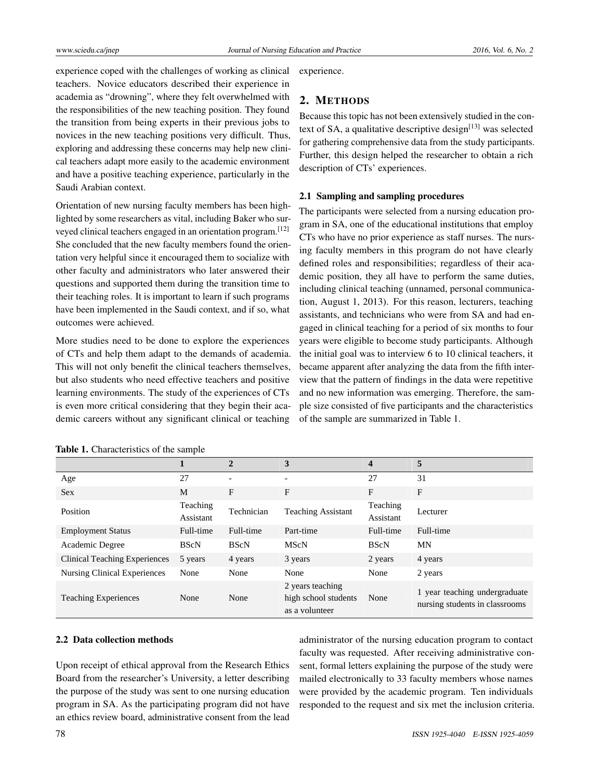experience coped with the challenges of working as clinical teachers. Novice educators described their experience in academia as "drowning", where they felt overwhelmed with the responsibilities of the new teaching position. They found the transition from being experts in their previous jobs to novices in the new teaching positions very difficult. Thus, exploring and addressing these concerns may help new clinical teachers adapt more easily to the academic environment and have a positive teaching experience, particularly in the Saudi Arabian context.

Orientation of new nursing faculty members has been highlighted by some researchers as vital, including Baker who surveyed clinical teachers engaged in an orientation program.[\[12\]](#page-9-11) She concluded that the new faculty members found the orientation very helpful since it encouraged them to socialize with other faculty and administrators who later answered their questions and supported them during the transition time to their teaching roles. It is important to learn if such programs have been implemented in the Saudi context, and if so, what outcomes were achieved.

More studies need to be done to explore the experiences of CTs and help them adapt to the demands of academia. This will not only benefit the clinical teachers themselves, but also students who need effective teachers and positive learning environments. The study of the experiences of CTs is even more critical considering that they begin their academic careers without any significant clinical or teaching

| experience. |
|-------------|

# 2. METHODS

Because this topic has not been extensively studied in the context of SA, a qualitative descriptive design $[13]$  was selected for gathering comprehensive data from the study participants. Further, this design helped the researcher to obtain a rich description of CTs' experiences.

#### 2.1 Sampling and sampling procedures

The participants were selected from a nursing education program in SA, one of the educational institutions that employ CTs who have no prior experience as staff nurses. The nursing faculty members in this program do not have clearly defined roles and responsibilities; regardless of their academic position, they all have to perform the same duties, including clinical teaching (unnamed, personal communication, August 1, 2013). For this reason, lecturers, teaching assistants, and technicians who were from SA and had engaged in clinical teaching for a period of six months to four years were eligible to become study participants. Although the initial goal was to interview 6 to 10 clinical teachers, it became apparent after analyzing the data from the fifth interview that the pattern of findings in the data were repetitive and no new information was emerging. Therefore, the sample size consisted of five participants and the characteristics of the sample are summarized in Table 1.

|                                      |                       | $\overline{2}$ | 3                                                          | 4                     | 5                                                               |
|--------------------------------------|-----------------------|----------------|------------------------------------------------------------|-----------------------|-----------------------------------------------------------------|
| Age                                  | 27                    |                | ٠                                                          | 27                    | 31                                                              |
| <b>Sex</b>                           | M                     | F              | F                                                          | F                     | F                                                               |
| Position                             | Teaching<br>Assistant | Technician     | <b>Teaching Assistant</b>                                  | Teaching<br>Assistant | Lecturer                                                        |
| <b>Employment Status</b>             | Full-time             | Full-time      | Part-time                                                  | Full-time             | Full-time                                                       |
| Academic Degree                      | <b>BScN</b>           | <b>BScN</b>    | <b>MScN</b>                                                | <b>BScN</b>           | <b>MN</b>                                                       |
| <b>Clinical Teaching Experiences</b> | 5 years               | 4 years        | 3 years                                                    | 2 years               | 4 years                                                         |
| <b>Nursing Clinical Experiences</b>  | None                  | None           | None                                                       | None                  | 2 years                                                         |
| <b>Teaching Experiences</b>          | None                  | None           | 2 years teaching<br>high school students<br>as a volunteer | None                  | 1 year teaching undergraduate<br>nursing students in classrooms |

Table 1. Characteristics of the sample

#### 2.2 Data collection methods

Upon receipt of ethical approval from the Research Ethics Board from the researcher's University, a letter describing the purpose of the study was sent to one nursing education program in SA. As the participating program did not have an ethics review board, administrative consent from the lead administrator of the nursing education program to contact faculty was requested. After receiving administrative consent, formal letters explaining the purpose of the study were mailed electronically to 33 faculty members whose names were provided by the academic program. Ten individuals responded to the request and six met the inclusion criteria.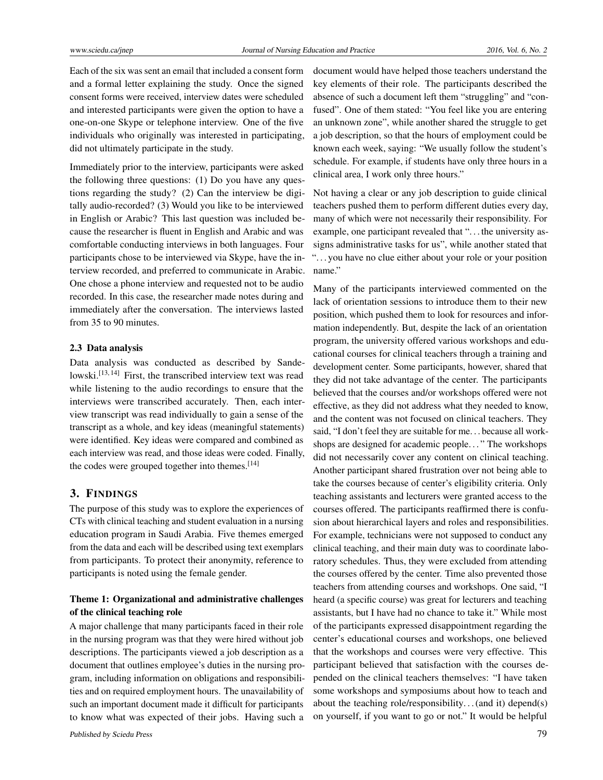Each of the six was sent an email that included a consent form and a formal letter explaining the study. Once the signed consent forms were received, interview dates were scheduled and interested participants were given the option to have a one-on-one Skype or telephone interview. One of the five individuals who originally was interested in participating, did not ultimately participate in the study.

Immediately prior to the interview, participants were asked the following three questions: (1) Do you have any questions regarding the study? (2) Can the interview be digitally audio-recorded? (3) Would you like to be interviewed in English or Arabic? This last question was included because the researcher is fluent in English and Arabic and was comfortable conducting interviews in both languages. Four participants chose to be interviewed via Skype, have the interview recorded, and preferred to communicate in Arabic. One chose a phone interview and requested not to be audio recorded. In this case, the researcher made notes during and immediately after the conversation. The interviews lasted from 35 to 90 minutes.

#### 2.3 Data analysis

Data analysis was conducted as described by Sande-lowski.<sup>[\[13,](#page-9-12) [14\]](#page-10-0)</sup> First, the transcribed interview text was read while listening to the audio recordings to ensure that the interviews were transcribed accurately. Then, each interview transcript was read individually to gain a sense of the transcript as a whole, and key ideas (meaningful statements) were identified. Key ideas were compared and combined as each interview was read, and those ideas were coded. Finally, the codes were grouped together into themes.<sup>[\[14\]](#page-10-0)</sup>

#### 3. FINDINGS

The purpose of this study was to explore the experiences of CTs with clinical teaching and student evaluation in a nursing education program in Saudi Arabia. Five themes emerged from the data and each will be described using text exemplars from participants. To protect their anonymity, reference to participants is noted using the female gender.

## Theme 1: Organizational and administrative challenges of the clinical teaching role

A major challenge that many participants faced in their role in the nursing program was that they were hired without job descriptions. The participants viewed a job description as a document that outlines employee's duties in the nursing program, including information on obligations and responsibilities and on required employment hours. The unavailability of such an important document made it difficult for participants to know what was expected of their jobs. Having such a

document would have helped those teachers understand the key elements of their role. The participants described the absence of such a document left them "struggling" and "confused". One of them stated: "You feel like you are entering an unknown zone", while another shared the struggle to get a job description, so that the hours of employment could be known each week, saying: "We usually follow the student's schedule. For example, if students have only three hours in a clinical area, I work only three hours."

Not having a clear or any job description to guide clinical teachers pushed them to perform different duties every day, many of which were not necessarily their responsibility. For example, one participant revealed that "... the university assigns administrative tasks for us", while another stated that ". . . you have no clue either about your role or your position name."

Many of the participants interviewed commented on the lack of orientation sessions to introduce them to their new position, which pushed them to look for resources and information independently. But, despite the lack of an orientation program, the university offered various workshops and educational courses for clinical teachers through a training and development center. Some participants, however, shared that they did not take advantage of the center. The participants believed that the courses and/or workshops offered were not effective, as they did not address what they needed to know, and the content was not focused on clinical teachers. They said, "I don't feel they are suitable for me. . . because all workshops are designed for academic people. . . " The workshops did not necessarily cover any content on clinical teaching. Another participant shared frustration over not being able to take the courses because of center's eligibility criteria. Only teaching assistants and lecturers were granted access to the courses offered. The participants reaffirmed there is confusion about hierarchical layers and roles and responsibilities. For example, technicians were not supposed to conduct any clinical teaching, and their main duty was to coordinate laboratory schedules. Thus, they were excluded from attending the courses offered by the center. Time also prevented those teachers from attending courses and workshops. One said, "I heard (a specific course) was great for lecturers and teaching assistants, but I have had no chance to take it." While most of the participants expressed disappointment regarding the center's educational courses and workshops, one believed that the workshops and courses were very effective. This participant believed that satisfaction with the courses depended on the clinical teachers themselves: "I have taken some workshops and symposiums about how to teach and about the teaching role/responsibility. . . (and it) depend(s) on yourself, if you want to go or not." It would be helpful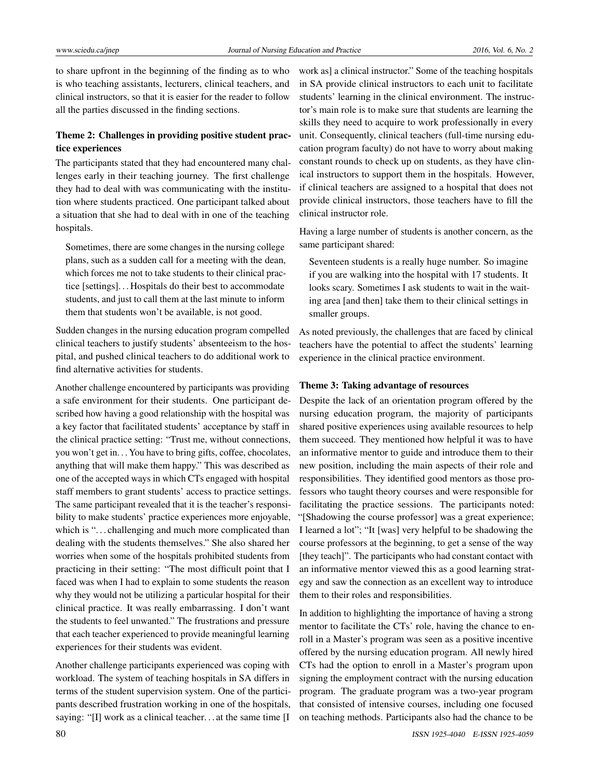to share upfront in the beginning of the finding as to who is who teaching assistants, lecturers, clinical teachers, and clinical instructors, so that it is easier for the reader to follow all the parties discussed in the finding sections.

## Theme 2: Challenges in providing positive student practice experiences

The participants stated that they had encountered many challenges early in their teaching journey. The first challenge they had to deal with was communicating with the institution where students practiced. One participant talked about a situation that she had to deal with in one of the teaching hospitals.

Sometimes, there are some changes in the nursing college plans, such as a sudden call for a meeting with the dean, which forces me not to take students to their clinical practice [settings]. . . Hospitals do their best to accommodate students, and just to call them at the last minute to inform them that students won't be available, is not good.

Sudden changes in the nursing education program compelled clinical teachers to justify students' absenteeism to the hospital, and pushed clinical teachers to do additional work to find alternative activities for students.

Another challenge encountered by participants was providing a safe environment for their students. One participant described how having a good relationship with the hospital was a key factor that facilitated students' acceptance by staff in the clinical practice setting: "Trust me, without connections, you won't get in. . . You have to bring gifts, coffee, chocolates, anything that will make them happy." This was described as one of the accepted ways in which CTs engaged with hospital staff members to grant students' access to practice settings. The same participant revealed that it is the teacher's responsibility to make students' practice experiences more enjoyable, which is "... challenging and much more complicated than dealing with the students themselves." She also shared her worries when some of the hospitals prohibited students from practicing in their setting: "The most difficult point that I faced was when I had to explain to some students the reason why they would not be utilizing a particular hospital for their clinical practice. It was really embarrassing. I don't want the students to feel unwanted." The frustrations and pressure that each teacher experienced to provide meaningful learning experiences for their students was evident.

Another challenge participants experienced was coping with workload. The system of teaching hospitals in SA differs in terms of the student supervision system. One of the participants described frustration working in one of the hospitals, saying: "[I] work as a clinical teacher. . . at the same time [I

work as] a clinical instructor." Some of the teaching hospitals in SA provide clinical instructors to each unit to facilitate students' learning in the clinical environment. The instructor's main role is to make sure that students are learning the skills they need to acquire to work professionally in every unit. Consequently, clinical teachers (full-time nursing education program faculty) do not have to worry about making constant rounds to check up on students, as they have clinical instructors to support them in the hospitals. However, if clinical teachers are assigned to a hospital that does not provide clinical instructors, those teachers have to fill the clinical instructor role.

Having a large number of students is another concern, as the same participant shared:

Seventeen students is a really huge number. So imagine if you are walking into the hospital with 17 students. It looks scary. Sometimes I ask students to wait in the waiting area [and then] take them to their clinical settings in smaller groups.

As noted previously, the challenges that are faced by clinical teachers have the potential to affect the students' learning experience in the clinical practice environment.

#### Theme 3: Taking advantage of resources

Despite the lack of an orientation program offered by the nursing education program, the majority of participants shared positive experiences using available resources to help them succeed. They mentioned how helpful it was to have an informative mentor to guide and introduce them to their new position, including the main aspects of their role and responsibilities. They identified good mentors as those professors who taught theory courses and were responsible for facilitating the practice sessions. The participants noted: "[Shadowing the course professor] was a great experience; I learned a lot"; "It [was] very helpful to be shadowing the course professors at the beginning, to get a sense of the way [they teach]". The participants who had constant contact with an informative mentor viewed this as a good learning strategy and saw the connection as an excellent way to introduce them to their roles and responsibilities.

In addition to highlighting the importance of having a strong mentor to facilitate the CTs' role, having the chance to enroll in a Master's program was seen as a positive incentive offered by the nursing education program. All newly hired CTs had the option to enroll in a Master's program upon signing the employment contract with the nursing education program. The graduate program was a two-year program that consisted of intensive courses, including one focused on teaching methods. Participants also had the chance to be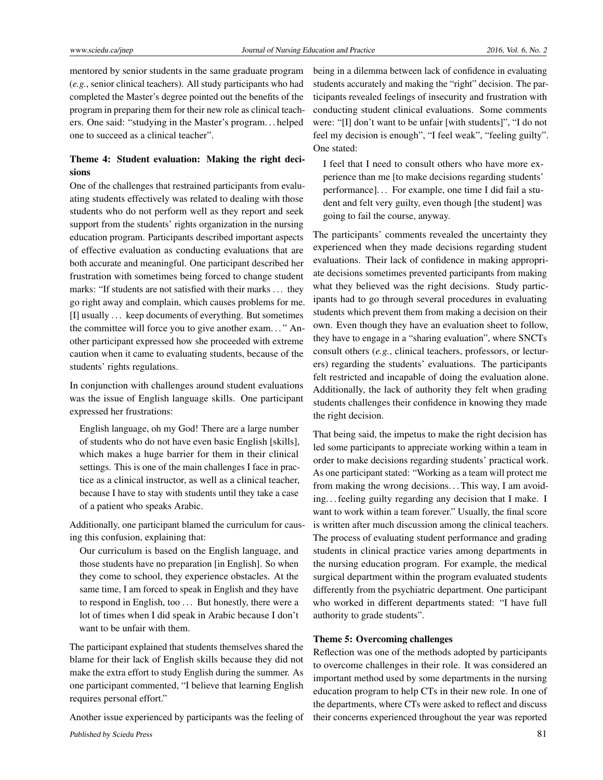mentored by senior students in the same graduate program (*e.g.*, senior clinical teachers). All study participants who had completed the Master's degree pointed out the benefits of the program in preparing them for their new role as clinical teachers. One said: "studying in the Master's program. . . helped one to succeed as a clinical teacher".

# Theme 4: Student evaluation: Making the right decisions

One of the challenges that restrained participants from evaluating students effectively was related to dealing with those students who do not perform well as they report and seek support from the students' rights organization in the nursing education program. Participants described important aspects of effective evaluation as conducting evaluations that are both accurate and meaningful. One participant described her frustration with sometimes being forced to change student marks: "If students are not satisfied with their marks . . . they go right away and complain, which causes problems for me. [I] usually . . . keep documents of everything. But sometimes the committee will force you to give another exam. . . " Another participant expressed how she proceeded with extreme caution when it came to evaluating students, because of the students' rights regulations.

In conjunction with challenges around student evaluations was the issue of English language skills. One participant expressed her frustrations:

English language, oh my God! There are a large number of students who do not have even basic English [skills], which makes a huge barrier for them in their clinical settings. This is one of the main challenges I face in practice as a clinical instructor, as well as a clinical teacher, because I have to stay with students until they take a case of a patient who speaks Arabic.

Additionally, one participant blamed the curriculum for causing this confusion, explaining that:

Our curriculum is based on the English language, and those students have no preparation [in English]. So when they come to school, they experience obstacles. At the same time, I am forced to speak in English and they have to respond in English, too ... But honestly, there were a lot of times when I did speak in Arabic because I don't want to be unfair with them.

The participant explained that students themselves shared the blame for their lack of English skills because they did not make the extra effort to study English during the summer. As one participant commented, "I believe that learning English requires personal effort."

Another issue experienced by participants was the feeling of

being in a dilemma between lack of confidence in evaluating students accurately and making the "right" decision. The participants revealed feelings of insecurity and frustration with conducting student clinical evaluations. Some comments were: "[I] don't want to be unfair [with students]", "I do not feel my decision is enough", "I feel weak", "feeling guilty". One stated:

I feel that I need to consult others who have more experience than me [to make decisions regarding students' performance]. . . For example, one time I did fail a student and felt very guilty, even though [the student] was going to fail the course, anyway.

The participants' comments revealed the uncertainty they experienced when they made decisions regarding student evaluations. Their lack of confidence in making appropriate decisions sometimes prevented participants from making what they believed was the right decisions. Study participants had to go through several procedures in evaluating students which prevent them from making a decision on their own. Even though they have an evaluation sheet to follow, they have to engage in a "sharing evaluation", where SNCTs consult others (*e.g.*, clinical teachers, professors, or lecturers) regarding the students' evaluations. The participants felt restricted and incapable of doing the evaluation alone. Additionally, the lack of authority they felt when grading students challenges their confidence in knowing they made the right decision.

That being said, the impetus to make the right decision has led some participants to appreciate working within a team in order to make decisions regarding students' practical work. As one participant stated: "Working as a team will protect me from making the wrong decisions... This way, I am avoiding. . . feeling guilty regarding any decision that I make. I want to work within a team forever." Usually, the final score is written after much discussion among the clinical teachers. The process of evaluating student performance and grading students in clinical practice varies among departments in the nursing education program. For example, the medical surgical department within the program evaluated students differently from the psychiatric department. One participant who worked in different departments stated: "I have full authority to grade students".

#### Theme 5: Overcoming challenges

Reflection was one of the methods adopted by participants to overcome challenges in their role. It was considered an important method used by some departments in the nursing education program to help CTs in their new role. In one of the departments, where CTs were asked to reflect and discuss their concerns experienced throughout the year was reported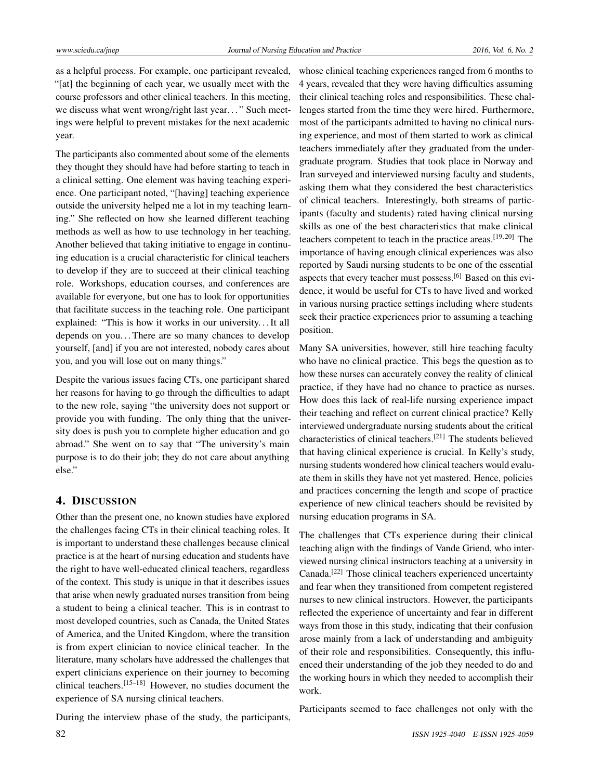as a helpful process. For example, one participant revealed, "[at] the beginning of each year, we usually meet with the course professors and other clinical teachers. In this meeting, we discuss what went wrong/right last year..." Such meetings were helpful to prevent mistakes for the next academic year.

The participants also commented about some of the elements they thought they should have had before starting to teach in a clinical setting. One element was having teaching experience. One participant noted, "[having] teaching experience outside the university helped me a lot in my teaching learning." She reflected on how she learned different teaching methods as well as how to use technology in her teaching. Another believed that taking initiative to engage in continuing education is a crucial characteristic for clinical teachers to develop if they are to succeed at their clinical teaching role. Workshops, education courses, and conferences are available for everyone, but one has to look for opportunities that facilitate success in the teaching role. One participant explained: "This is how it works in our university. . . It all depends on you...There are so many chances to develop yourself, [and] if you are not interested, nobody cares about you, and you will lose out on many things."

Despite the various issues facing CTs, one participant shared her reasons for having to go through the difficulties to adapt to the new role, saying "the university does not support or provide you with funding. The only thing that the university does is push you to complete higher education and go abroad." She went on to say that "The university's main purpose is to do their job; they do not care about anything else."

## 4. DISCUSSION

Other than the present one, no known studies have explored the challenges facing CTs in their clinical teaching roles. It is important to understand these challenges because clinical practice is at the heart of nursing education and students have the right to have well-educated clinical teachers, regardless of the context. This study is unique in that it describes issues that arise when newly graduated nurses transition from being a student to being a clinical teacher. This is in contrast to most developed countries, such as Canada, the United States of America, and the United Kingdom, where the transition is from expert clinician to novice clinical teacher. In the literature, many scholars have addressed the challenges that expert clinicians experience on their journey to becoming clinical teachers.[\[15–](#page-10-1)[18\]](#page-10-2) However, no studies document the experience of SA nursing clinical teachers.

During the interview phase of the study, the participants,

whose clinical teaching experiences ranged from 6 months to 4 years, revealed that they were having difficulties assuming their clinical teaching roles and responsibilities. These challenges started from the time they were hired. Furthermore, most of the participants admitted to having no clinical nursing experience, and most of them started to work as clinical teachers immediately after they graduated from the undergraduate program. Studies that took place in Norway and Iran surveyed and interviewed nursing faculty and students, asking them what they considered the best characteristics of clinical teachers. Interestingly, both streams of participants (faculty and students) rated having clinical nursing skills as one of the best characteristics that make clinical teachers competent to teach in the practice areas.<sup>[\[19,](#page-10-3) [20\]](#page-10-4)</sup> The importance of having enough clinical experiences was also reported by Saudi nursing students to be one of the essential aspects that every teacher must possess.<sup>[\[6\]](#page-9-5)</sup> Based on this evidence, it would be useful for CTs to have lived and worked in various nursing practice settings including where students seek their practice experiences prior to assuming a teaching position.

Many SA universities, however, still hire teaching faculty who have no clinical practice. This begs the question as to how these nurses can accurately convey the reality of clinical practice, if they have had no chance to practice as nurses. How does this lack of real-life nursing experience impact their teaching and reflect on current clinical practice? Kelly interviewed undergraduate nursing students about the critical characteristics of clinical teachers.[\[21\]](#page-10-5) The students believed that having clinical experience is crucial. In Kelly's study, nursing students wondered how clinical teachers would evaluate them in skills they have not yet mastered. Hence, policies and practices concerning the length and scope of practice experience of new clinical teachers should be revisited by nursing education programs in SA.

The challenges that CTs experience during their clinical teaching align with the findings of Vande Griend, who interviewed nursing clinical instructors teaching at a university in Canada.[\[22\]](#page-10-6) Those clinical teachers experienced uncertainty and fear when they transitioned from competent registered nurses to new clinical instructors. However, the participants reflected the experience of uncertainty and fear in different ways from those in this study, indicating that their confusion arose mainly from a lack of understanding and ambiguity of their role and responsibilities. Consequently, this influenced their understanding of the job they needed to do and the working hours in which they needed to accomplish their work.

Participants seemed to face challenges not only with the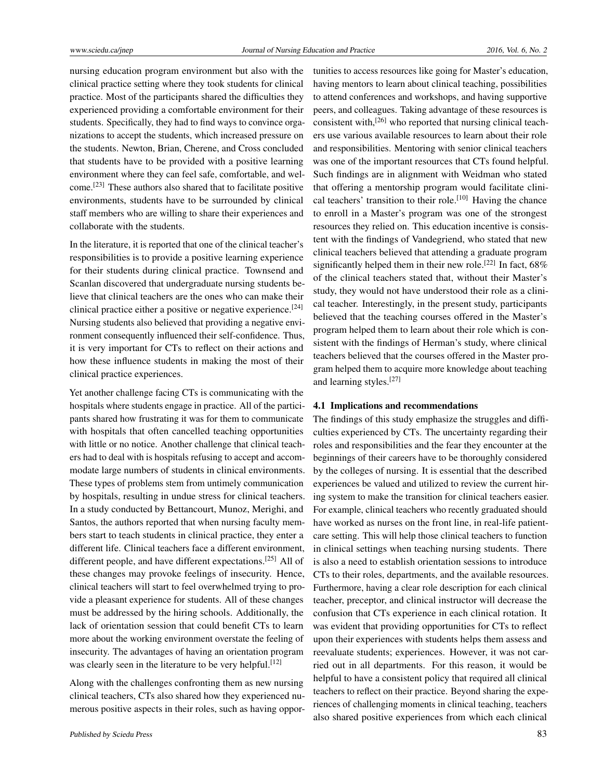nursing education program environment but also with the clinical practice setting where they took students for clinical practice. Most of the participants shared the difficulties they experienced providing a comfortable environment for their students. Specifically, they had to find ways to convince organizations to accept the students, which increased pressure on the students. Newton, Brian, Cherene, and Cross concluded that students have to be provided with a positive learning environment where they can feel safe, comfortable, and welcome.[\[23\]](#page-10-7) These authors also shared that to facilitate positive environments, students have to be surrounded by clinical staff members who are willing to share their experiences and collaborate with the students.

In the literature, it is reported that one of the clinical teacher's responsibilities is to provide a positive learning experience for their students during clinical practice. Townsend and Scanlan discovered that undergraduate nursing students believe that clinical teachers are the ones who can make their clinical practice either a positive or negative experience.[\[24\]](#page-10-8) Nursing students also believed that providing a negative environment consequently influenced their self-confidence. Thus, it is very important for CTs to reflect on their actions and how these influence students in making the most of their clinical practice experiences.

Yet another challenge facing CTs is communicating with the hospitals where students engage in practice. All of the participants shared how frustrating it was for them to communicate with hospitals that often cancelled teaching opportunities with little or no notice. Another challenge that clinical teachers had to deal with is hospitals refusing to accept and accommodate large numbers of students in clinical environments. These types of problems stem from untimely communication by hospitals, resulting in undue stress for clinical teachers. In a study conducted by Bettancourt, Munoz, Merighi, and Santos, the authors reported that when nursing faculty members start to teach students in clinical practice, they enter a different life. Clinical teachers face a different environment, different people, and have different expectations.<sup>[\[25\]](#page-10-9)</sup> All of these changes may provoke feelings of insecurity. Hence, clinical teachers will start to feel overwhelmed trying to provide a pleasant experience for students. All of these changes must be addressed by the hiring schools. Additionally, the lack of orientation session that could benefit CTs to learn more about the working environment overstate the feeling of insecurity. The advantages of having an orientation program was clearly seen in the literature to be very helpful.<sup>[\[12\]](#page-9-11)</sup>

Along with the challenges confronting them as new nursing clinical teachers, CTs also shared how they experienced numerous positive aspects in their roles, such as having opportunities to access resources like going for Master's education, having mentors to learn about clinical teaching, possibilities to attend conferences and workshops, and having supportive peers, and colleagues. Taking advantage of these resources is consistent with, $^{[26]}$  $^{[26]}$  $^{[26]}$  who reported that nursing clinical teachers use various available resources to learn about their role and responsibilities. Mentoring with senior clinical teachers was one of the important resources that CTs found helpful. Such findings are in alignment with Weidman who stated that offering a mentorship program would facilitate clini-cal teachers' transition to their role.<sup>[\[10\]](#page-9-7)</sup> Having the chance to enroll in a Master's program was one of the strongest resources they relied on. This education incentive is consistent with the findings of Vandegriend, who stated that new clinical teachers believed that attending a graduate program significantly helped them in their new role.<sup>[\[22\]](#page-10-6)</sup> In fact,  $68\%$ of the clinical teachers stated that, without their Master's study, they would not have understood their role as a clinical teacher. Interestingly, in the present study, participants believed that the teaching courses offered in the Master's program helped them to learn about their role which is consistent with the findings of Herman's study, where clinical teachers believed that the courses offered in the Master program helped them to acquire more knowledge about teaching and learning styles.[\[27\]](#page-10-11)

#### 4.1 Implications and recommendations

The findings of this study emphasize the struggles and difficulties experienced by CTs. The uncertainty regarding their roles and responsibilities and the fear they encounter at the beginnings of their careers have to be thoroughly considered by the colleges of nursing. It is essential that the described experiences be valued and utilized to review the current hiring system to make the transition for clinical teachers easier. For example, clinical teachers who recently graduated should have worked as nurses on the front line, in real-life patientcare setting. This will help those clinical teachers to function in clinical settings when teaching nursing students. There is also a need to establish orientation sessions to introduce CTs to their roles, departments, and the available resources. Furthermore, having a clear role description for each clinical teacher, preceptor, and clinical instructor will decrease the confusion that CTs experience in each clinical rotation. It was evident that providing opportunities for CTs to reflect upon their experiences with students helps them assess and reevaluate students; experiences. However, it was not carried out in all departments. For this reason, it would be helpful to have a consistent policy that required all clinical teachers to reflect on their practice. Beyond sharing the experiences of challenging moments in clinical teaching, teachers also shared positive experiences from which each clinical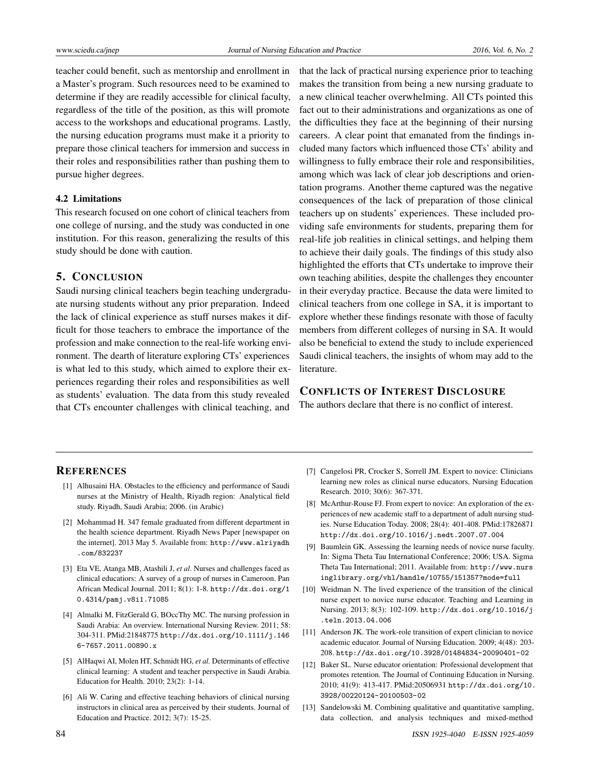teacher could benefit, such as mentorship and enrollment in a Master's program. Such resources need to be examined to determine if they are readily accessible for clinical faculty, regardless of the title of the position, as this will promote access to the workshops and educational programs. Lastly, the nursing education programs must make it a priority to prepare those clinical teachers for immersion and success in their roles and responsibilities rather than pushing them to pursue higher degrees.

### 4.2 Limitations

This research focused on one cohort of clinical teachers from one college of nursing, and the study was conducted in one institution. For this reason, generalizing the results of this study should be done with caution.

#### 5. CONCLUSION

Saudi nursing clinical teachers begin teaching undergraduate nursing students without any prior preparation. Indeed the lack of clinical experience as stuff nurses makes it difficult for those teachers to embrace the importance of the profession and make connection to the real-life working environment. The dearth of literature exploring CTs' experiences is what led to this study, which aimed to explore their experiences regarding their roles and responsibilities as well as students' evaluation. The data from this study revealed that CTs encounter challenges with clinical teaching, and

that the lack of practical nursing experience prior to teaching makes the transition from being a new nursing graduate to a new clinical teacher overwhelming. All CTs pointed this fact out to their administrations and organizations as one of the difficulties they face at the beginning of their nursing careers. A clear point that emanated from the findings included many factors which influenced those CTs' ability and willingness to fully embrace their role and responsibilities, among which was lack of clear job descriptions and orientation programs. Another theme captured was the negative consequences of the lack of preparation of those clinical teachers up on students' experiences. These included providing safe environments for students, preparing them for real-life job realities in clinical settings, and helping them to achieve their daily goals. The findings of this study also highlighted the efforts that CTs undertake to improve their own teaching abilities, despite the challenges they encounter in their everyday practice. Because the data were limited to clinical teachers from one college in SA, it is important to explore whether these findings resonate with those of faculty members from different colleges of nursing in SA. It would also be beneficial to extend the study to include experienced Saudi clinical teachers, the insights of whom may add to the literature.

## CONFLICTS OF INTEREST DISCLOSURE

The authors declare that there is no conflict of interest.

# **REFERENCES**

- <span id="page-9-0"></span>[1] Alhusaini HA. Obstacles to the efficiency and performance of Saudi nurses at the Ministry of Health, Riyadh region: Analytical field study. Riyadh, Saudi Arabia; 2006. (in Arabic)
- <span id="page-9-1"></span>[2] Mohammad H. 347 female graduated from different department in the health science department. Riyadh News Paper [newspaper on the internet]. 2013 May 5. Available from: [http://www.alriyadh](http://www.alriyadh.com/832237) [.com/832237](http://www.alriyadh.com/832237)
- <span id="page-9-2"></span>[3] Eta VE, Atanga MB, Atashili J, *et al*. Nurses and challenges faced as clinical educatiors: A survey of a group of nurses in Cameroon. Pan African Medical Journal. 2011; 8(1): 1-8. [http://dx.doi.org/1](http://dx.doi.org/10.4314/pamj.v8i1.71085) [0.4314/pamj.v8i1.71085](http://dx.doi.org/10.4314/pamj.v8i1.71085)
- <span id="page-9-3"></span>[4] Almalki M, FitzGerald G, BOccThy MC. The nursing profession in Saudi Arabia: An overview. International Nursing Review. 2011; 58: 304-311. PMid:21848775 [http://dx.doi.org/10.1111/j.146](http://dx.doi.org/10.1111/j.1466-7657.2011.00890.x) [6-7657.2011.00890.x](http://dx.doi.org/10.1111/j.1466-7657.2011.00890.x)
- <span id="page-9-4"></span>[5] AlHaqwi AI, Molen HT, Schmidt HG, *et al.* Determinants of effective clinical learning: A student and teacher perspective in Saudi Arabia. Education for Health. 2010; 23(2): 1-14.
- <span id="page-9-5"></span>[6] Ali W. Caring and effective teaching behaviors of clinical nursing instructors in clinical area as perceived by their students. Journal of Education and Practice. 2012; 3(7): 15-25.
- <span id="page-9-6"></span>[7] Cangelosi PR, Crocker S, Sorrell JM. Expert to novice: Clinicians learning new roles as clinical nurse educators. Nursing Education Research. 2010; 30(6): 367-371.
- <span id="page-9-8"></span>[8] McArthur-Rouse FJ. From expert to novice: An exploration of the experiences of new academic staff to a department of adult nursing studies. Nurse Education Today. 2008; 28(4): 401-408. PMid:17826871 <http://dx.doi.org/10.1016/j.nedt.2007.07.004>
- <span id="page-9-9"></span>[9] Baumlein GK. Assessing the learning needs of novice nurse faculty. In: Sigma Theta Tau International Conference; 2006; USA. Sigma Theta Tau International; 2011. Available from: [http://www.nurs](http://www.nursinglibrary.org/vhl/handle/10755/151357?mode=full) [inglibrary.org/vhl/handle/10755/151357?mode=full](http://www.nursinglibrary.org/vhl/handle/10755/151357?mode=full)
- <span id="page-9-7"></span>[10] Weidman N. The lived experience of the transition of the clinical nurse expert to novice nurse educator. Teaching and Learning in Nursing. 2013; 8(3): 102-109. [http://dx.doi.org/10.1016/j](http://dx.doi.org/10.1016/j.teln.2013.04.006) [.teln.2013.04.006](http://dx.doi.org/10.1016/j.teln.2013.04.006)
- <span id="page-9-10"></span>[11] Anderson JK. The work-role transition of expert clinician to novice academic educator. Journal of Nursing Education. 2009; 4(48): 203- 208. <http://dx.doi.org/10.3928/01484834-20090401-02>
- <span id="page-9-11"></span>[12] Baker SL. Nurse educator orientation: Professional development that promotes retention. The Journal of Continuing Education in Nursing. 2010; 41(9): 413-417. PMid:20506931 [http://dx.doi.org/10.](http://dx.doi.org/10.3928/00220124-20100503-02) [3928/00220124-20100503-02](http://dx.doi.org/10.3928/00220124-20100503-02)
- <span id="page-9-12"></span>[13] Sandelowski M. Combining qualitative and quantitative sampling, data collection, and analysis techniques and mixed-method